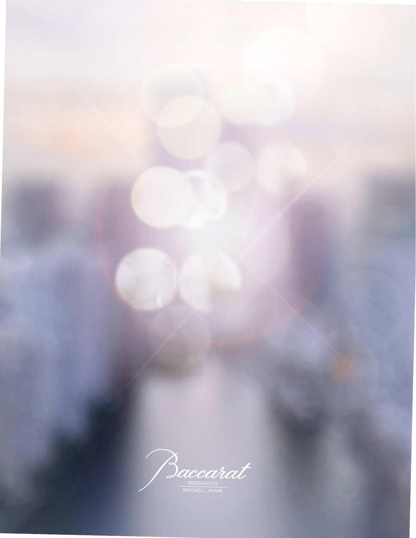Baccarat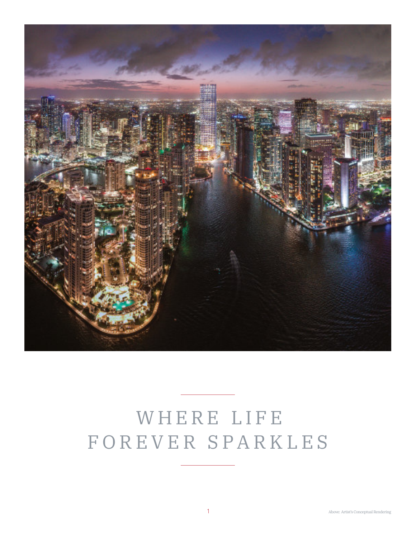

# WHERE LIFE F O R E V E R S P A R K L E S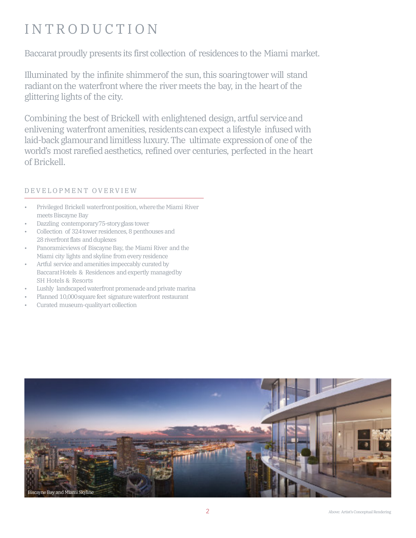# **INTRODUCTION**

Baccarat proudly presents its first collection of residences to the Miami market.

Illuminated by the infinite shimmerof the sun, this soaringtower will stand radiant on the waterfront where the river meets the bay, in the heart of the glittering lights of the city.

Combining the best of Brickell with enlightened design, artful serviceand enlivening waterfront amenities, residentscanexpect a lifestyle infused with laid-back glamourand limitless luxury. The ultimate expressionof one of the world's most rarefied aesthetics, refined over centuries, perfected in the heart of Brickell.

### D E V E L O P M E N T O V E R V I E W

- Privileged Brickell waterfrontposition, wherethe Miami River meets Biscayne Bay
- Dazzling contemporary75-storyglass tower
- Collection of 324tower residences, 8 penthouses and 28 riverfront flats and duplexes
- Panoramicviews of Biscayne Bay, the Miami River and the Miami city lights and skyline from every residence
- Artful service and amenities impeccably curated by BaccaratHotels & Residences and expertly managedby SH Hotels & Resorts
- Lushly landscaped waterfront promenade and private marina
- Planned 10,000square feet signature waterfront restaurant
- Curated museum-qualityart collection

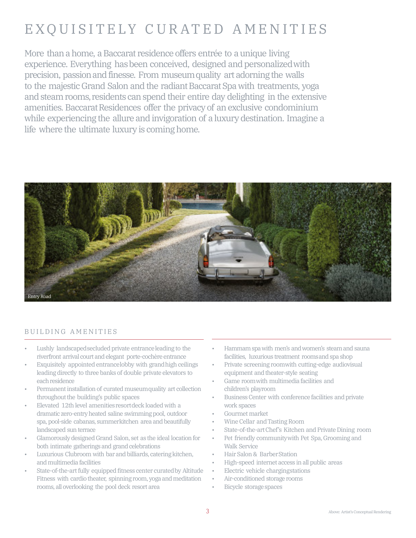# EXQUISITELY CURATED AMENITIES

More than a home, a Baccarat residence offers entrée to a unique living experience. Everything hasbeen conceived, designed and personalizedwith precision, passionand finesse. From museumquality art adorning the walls to the majestic Grand Salon and the radiant Baccarat Spa with treatments, yoga and steam rooms, residents can spend their entire day delighting in the extensive amenities. Baccarat Residences offer the privacy of an exclusive condominium while experiencing the allure and invigoration of a luxury destination. Imagine a life where the ultimate luxury is coming home.



#### BUILDING AMENITIES

- Lushly landscapedsecluded private entranceleading to the riverfront arrival court and elegant porte-cochère entrance
- Exquisitely appointed entrancelobby with grandhigh ceilings leading directly to three banks of double private elevators to each residence
- Permanent installation of curated museumquality art collection throughout the building's public spaces
- Elevated 12th level amenities resort deck loaded with a dramatic zero-entry heated saline swimming pool, outdoor spa, pool-side cabanas, summerkitchen area and beautifully landscaped sun terrace
- Glamorously designed Grand Salon, set as the ideal location for both intimate gatherings and grand celebrations
- Luxurious Clubroom with bar and billiards, catering kitchen, andmultimedia facilities
- State-of-the-art fully equipped fitness center curatedby Altitude Fitness with cardio theater, spinning room, yoga and meditation rooms, all overlooking the pool deck resort area
- Hammamspawith men's andwomen's steam and sauna facilities, luxurious treatment roomsand spa shop
- Private screening roomwith cutting-edge audiovisual equipment and theater-style seating
- Game roomwith multimedia facilities and children's playroom
- Business Center with conference facilities and private work spaces
- Gourmet market
- Wine Cellar andTasting Room
- State-of-the-artChef's Kitchen and Private Dining room
- Pet friendly communitywith Pet Spa, Grooming and Walk Service
- Hair Salon & BarberStation
- High-speed internet access in all public areas
- Electric vehicle chargingstations
- Air-conditioned storage rooms
- **Bicycle storage spaces**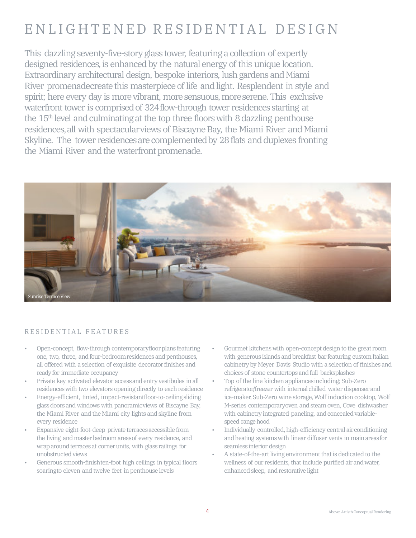# ENLIGHTENED RESIDENTIAL DESIGN

This dazzling seventy-five-story glass tower, featuring a collection of expertly designed residences, is enhanced by the natural energy of this unique location. Extraordinary architectural design, bespoke interiors, lush gardens and Miami River promenadecreate this masterpiece of life and light. Resplendent in style and spirit; here every day is more vibrant, more sensuous, more serene. This exclusive waterfront tower is comprised of 324 flow-through tower residences starting at the 15th level and culminating at the top three floorswith 8 dazzling penthouse residences, all with spectacular views of Biscayne Bay, the Miami River and Miami Skyline. The tower residences are complemented by 28 flats and duplexes fronting the Miami River and the waterfront promenade.



#### RESIDENTIAL FEATURES

- Open-concept, flow-through contemporaryfloor plans featuring one, two, three, and four-bedroomresidences and penthouses, all offered with a selection of exquisite decorator finishes and ready for immediate occupancy
- Private key activated elevator accessand entry vestibules in all residenceswith two elevators opening directly to each residence
- Energy-efficient, tinted, impact-resistantfloor-to-ceilingsliding glassdoors and windows with panoramicviews of Biscayne Bay, the Miami River and the Miami city lights and skyline from every residence
- Expansive eight-foot-deep private terracesaccessible from the living andmaster bedroom areasof every residence, and wrap around terraces at cornerunits, with glass railings for unobstructed views
- Generous smooth-finishten-foot high ceilings in typical floors soaringto eleven and twelve feet in penthouse levels
- Gourmet kitchens with open-concept design to the great room with generous islands and breakfast bar featuring custom Italian cabinetry by Meyer Davis Studio with a selection of finishes and choices of stone countertops and full backsplashes
- Top of the line kitchen appliancesincluding; Sub-Zero refrigerator/freezer with internal chilled water dispenser and ice-maker, Sub-Zero wine storage, Wolf induction cooktop, Wolf M-series contemporaryoven and steam oven, Cove dishwasher with cabinetry integrated paneling, and concealed variablespeed range hood
- Individually controlled, high-efficiency central airconditioning andheating systemswith linear diffuser vents in main areasfor seamless interior design
- A state-of-the-art living environment that is dedicated to the wellness of our residents, that include purified air and water, enhanced sleep, and restorative light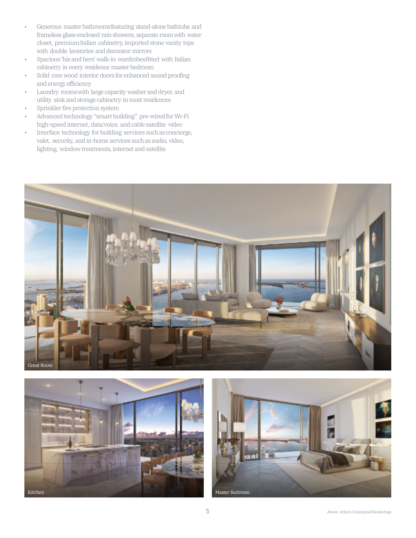- Generous master bathroomsfeaturing stand-alone bathtubs and frameless glass-enclosed rainshowers, separate roomwith water closet, premiumItalian cabinetry, imported stone vanity tops with double lavatories and decorator mirrors
- Spacious 'his and hers' walk-in wardrobesfitted with Italian cabinetry in every residence master bedroom
- Solid corewood interior doors for enhanced sound proofing and energy efficiency
- Laundry roomswith large capacity washer and dryer, and utility sink and storage cabinetry in most residences
- Sprinkler fire protection system
- Advanced technology "smart building" pre-wired for Wi-Fi high-speed internet, data/voice, and cable satellite video
- Interface technology for building services suchas concierge, valet, security, and in-home services suchas audio, video, lighting, window treatments, internet and satellite





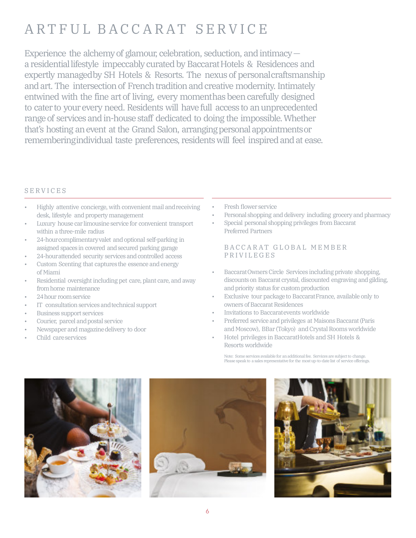# ARTFUL BACCARAT SERVICE

Experience the alchemy of glamour, celebration, seduction, and intimacy a residential lifestyle impeccably curated by Baccarat Hotels & Residences and expertly managedby SH Hotels & Resorts. The nexus of personalcraftsmanship and art. The intersection of French tradition and creative modernity. Intimately entwined with the fine art of living, every momenthas been carefully designed to cater to your every need. Residents will have full access to anunprecedented range of services and in-house staff dedicated to doing the impossible.Whether that's hosting an event at the Grand Salon, arranging personal appointments or rememberingindividual taste preferences, residents will feel inspired and at ease.

### **SERVICES**

- Highly attentive concierge, with convenient mail andreceiving desk, lifestyle and propertymanagement
- Luxury house car limousine service for convenient transport within a three-mile radius
- 24-hourcomplimentaryvalet and optional self-parking in assigned spaces in covered andsecured parking garage
- 24-hourattended security services and controlled access
- Custom Scenting that captures the essence and energy of Miami
- Residential oversight including pet care, plant care, and away fromhome maintenance
- 24hour roomservice
- IT consultation services and technical support
- Business support services
- Courier, parcel and postal service
- Newspaper and magazine delivery to door
- Child careservices
- Fresh flower service
- Personal shopping and delivery including grocery and pharmacy
- Special personal shopping privileges from Baccarat Preferred Partners

#### B A C C A R A T G L O B A L M E M B E R P R I V I L E G E S

- BaccaratOwners Circle Services including private shopping, discounts on Baccarat crystal, discounted engraving and gilding, andpriority status for customproduction
- Exclusive tour packageto BaccaratFrance, available only to owners of Baccarat Residences
- Invitations to Baccaratevents worldwide
- Preferred service and privileges at Maisons Baccarat (Paris and Moscow), BBar (Tokyo) and Crystal Rooms worldwide
- Hotel privileges in BaccaratHotels and SH Hotels & Resorts worldwide

Note: Some services available for an additional fee. Services are subject to change. Please speak to a sales representative for the most up-to-date list of service offerings.





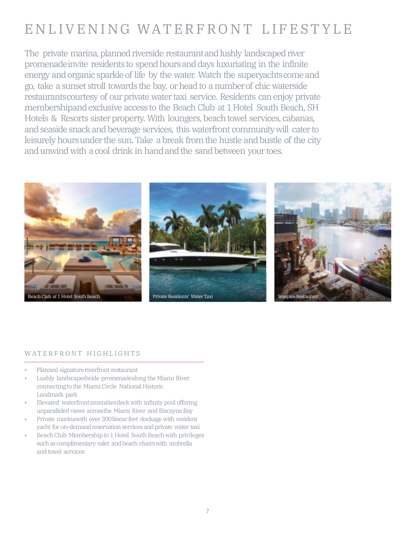# EN LIVENING WATERFRONT LIFESTYLE

The private marina, planned riverside restaurant and lushly landscaped river promenadeinvite residents to spendhoursanddays luxuriating in the infinite energy and organic sparkle of life by the water. Watch the superyachtscome and go, take a sunset stroll towards the bay, or head to a numberof chic waterside restaurantscourtesy of our private water taxi service. Residents can enjoy private membershipand exclusive access to the Beach Club at 1Hotel South Beach, SH Hotels & Resorts sister property. With loungers, beach towel services, cabanas, and seaside snack and beverage services, this waterfront communitywill cater to leisurely hoursunder the sun.Take a break from the hustle and bustle of the city and unwind with a cool drink in hand and the sand between your toes.



### WATERFRONT HIGHLIGHTS

- Planned signature riverfront restaurant
- Lushly landscapedwide promenadealong the Miami River connectingto the Miami Circle National Historic Landmark park
- Elevated waterfrontamenitiesdeck with infinity pool offering unparalleled views acrossthe Miami River and Biscayne Bay
- Private marinawith over 300linear feet dockage with resident yacht for on-demand reservation services and private water taxi
- Beach Club Membership to 1 Hotel South Beach with privileges such as complimentary valet and beach chairs with umbrella and towel services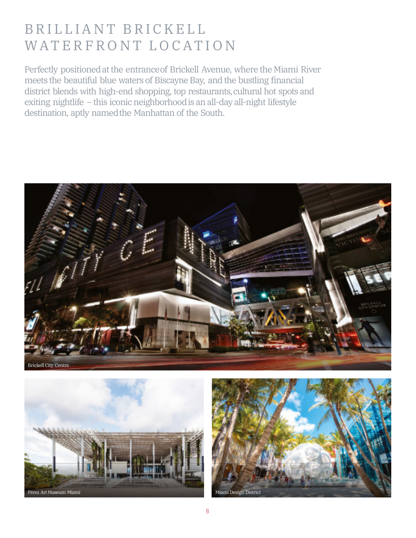# BRILLIANT BRICKELL WATERFRONT LOCATION

Perfectly positionedat the entranceof Brickell Avenue, where the Miami River meets the beautiful blue waters of Biscayne Bay, and the bustling financial district blends with high-end shopping, top restaurants, cultural hot spots and exiting nightlife – this iconic neighborhoodis an all-day all-night lifestyle destination, aptly namedthe Manhattan of the South.





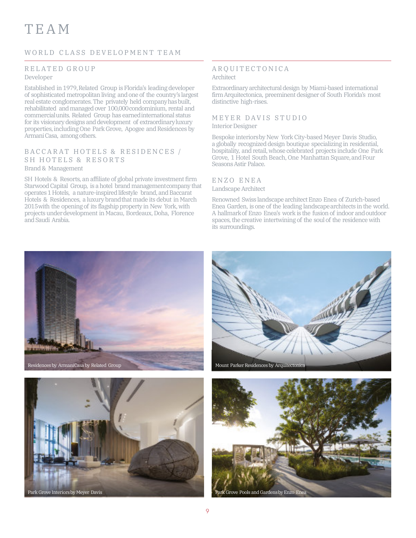# T E A M

### WORLD CLASS DEVELOPMENT TEAM

## RELATED GROUP

#### Developer

Established in 1979,Related Group is Florida's leading developer of sophisticated metropolitan living and one of the country's largest real estate conglomerates. The privately held companyhasbuilt, rehabilitated and managed over 100,000 condominium, rental and commercialunits. Related Group has earnedinternational status for its visionary designs and development of extraordinaryluxury properties,including One Park Grove, Apogee and Residences by ArmaniCasa, among others.

#### BACCARAT HOTELS & RESIDENCES / SH HOTELS & RESORTS Brand & Management

SH Hotels & Resorts, an affiliate of global private investment firm Starwood Capital Group, is a hotel brand management company that operates 1 Hotels, a nature-inspired lifestyle brand, and Baccarat Hotels & Residences, a luxury brand that made its debut in March 2015with the opening of its flagship property in New York, with projects underdevelopment in Macau, Bordeaux, Doha, Florence and Saudi Arabia.

#### A R Q U I T E C T O N I C A Architect

Extraordinary architectural design by Miami-based international firmArquitectonica, preeminent designer of South Florida's most distinctive high-rises.

### MEYER DAVIS STUDIO

#### Interior Designer

Bespoke interiorsby New York City-based Meyer Davis Studio, a globally recognized design boutique specializing in residential, hospitality, and retail, whose celebrated projects include One Park Grove, 1 Hotel South Beach, One Manhattan Square, and Four Seasons Astir Palace.

#### E N Z O E N E A Landscape Architect

Renowned Swiss landscape architect Enzo Enea of Zurich-based Enea Garden, is one of the leading landscapearchitects in the world. A hallmarkof Enzo Enea's work is the fusion of indoor andoutdoor spaces, the creative intertwining of the soul of the residence with its surroundings.







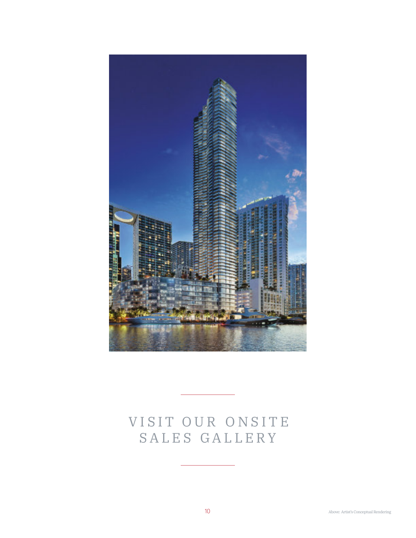

# VISIT OUR ONSITE SALES GALLERY